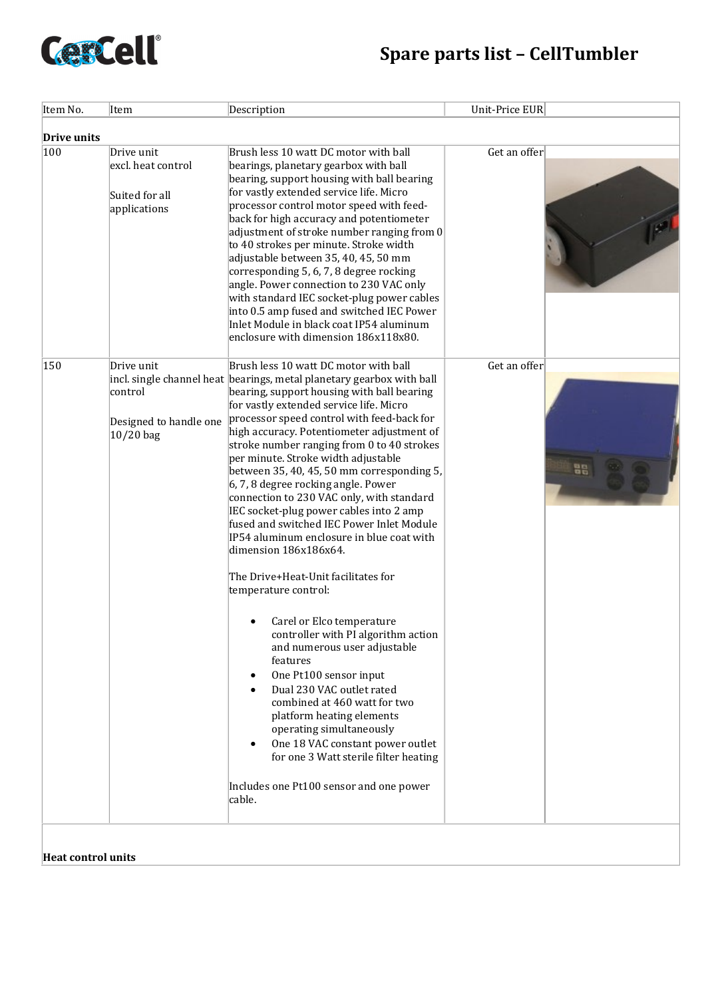

| Item No.    | Item                                                               | Description                                                                                                                                                                                                                                                                                                                                                                                                                                                                                                                                                                                                                                                                                                                                                                                                                                                                                                                                                                                                                                                                                                                                                                         | Unit-Price EUR     |  |
|-------------|--------------------------------------------------------------------|-------------------------------------------------------------------------------------------------------------------------------------------------------------------------------------------------------------------------------------------------------------------------------------------------------------------------------------------------------------------------------------------------------------------------------------------------------------------------------------------------------------------------------------------------------------------------------------------------------------------------------------------------------------------------------------------------------------------------------------------------------------------------------------------------------------------------------------------------------------------------------------------------------------------------------------------------------------------------------------------------------------------------------------------------------------------------------------------------------------------------------------------------------------------------------------|--------------------|--|
| Drive units |                                                                    |                                                                                                                                                                                                                                                                                                                                                                                                                                                                                                                                                                                                                                                                                                                                                                                                                                                                                                                                                                                                                                                                                                                                                                                     |                    |  |
| 100         | Drive unit<br>excl. heat control<br>Suited for all<br>applications | Brush less 10 watt DC motor with ball<br>bearings, planetary gearbox with ball<br>bearing, support housing with ball bearing<br>for vastly extended service life. Micro<br>processor control motor speed with feed-<br>back for high accuracy and potentiometer<br>adjustment of stroke number ranging from 0<br>to 40 strokes per minute. Stroke width<br>adjustable between 35, 40, 45, 50 mm<br>corresponding 5, 6, 7, 8 degree rocking<br>angle. Power connection to 230 VAC only<br>with standard IEC socket-plug power cables<br>into 0.5 amp fused and switched IEC Power<br>Inlet Module in black coat IP54 aluminum<br>enclosure with dimension 186x118x80.                                                                                                                                                                                                                                                                                                                                                                                                                                                                                                                | Get an offer       |  |
| 150         | Drive unit<br>control<br>Designed to handle one<br>$10/20$ bag     | Brush less 10 watt DC motor with ball<br>incl. single channel heat bearings, metal planetary gearbox with ball<br>bearing, support housing with ball bearing<br>for vastly extended service life. Micro<br>processor speed control with feed-back for<br>high accuracy. Potentiometer adjustment of<br>stroke number ranging from 0 to 40 strokes<br>per minute. Stroke width adjustable<br>between 35, 40, 45, 50 mm corresponding 5,<br>6, 7, 8 degree rocking angle. Power<br>connection to 230 VAC only, with standard<br>IEC socket-plug power cables into 2 amp<br>fused and switched IEC Power Inlet Module<br>IP54 aluminum enclosure in blue coat with<br>dimension 186x186x64.<br>The Drive+Heat-Unit facilitates for<br>temperature control:<br>Carel or Elco temperature<br>$\bullet$<br>controller with PI algorithm action<br>and numerous user adjustable<br>features<br>One Pt100 sensor input<br>$\bullet$<br>Dual 230 VAC outlet rated<br>combined at 460 watt for two<br>platform heating elements<br>operating simultaneously<br>One 18 VAC constant power outlet<br>for one 3 Watt sterile filter heating<br>Includes one Pt100 sensor and one power<br>cable. | Get an offer<br>88 |  |

**Heat control units**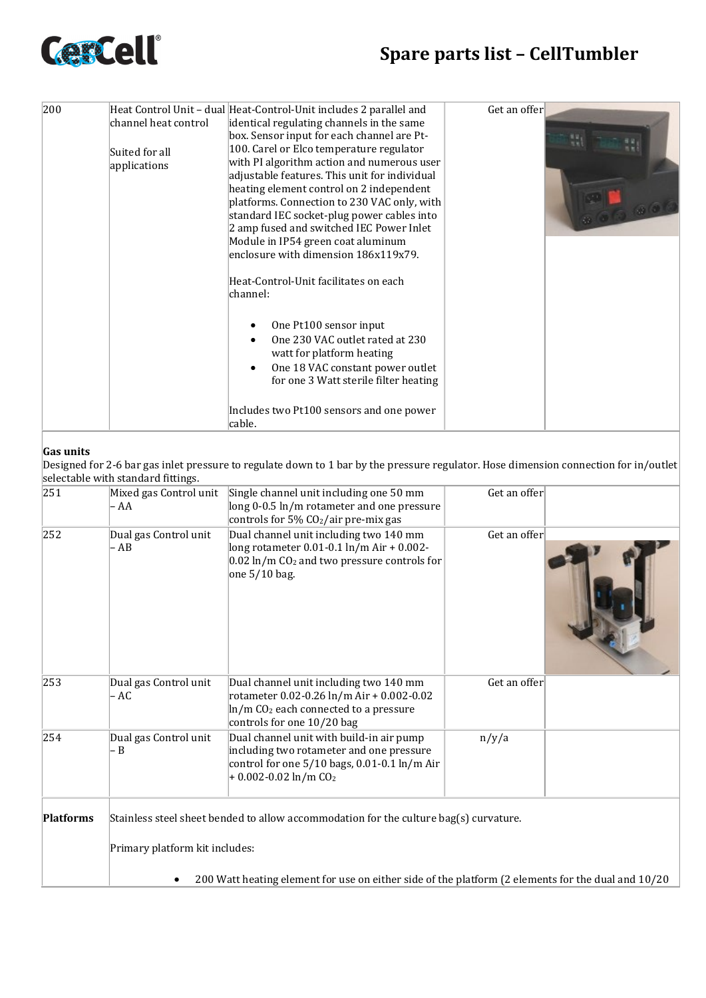

| 200 | channel heat control<br>Suited for all<br>applications | Heat Control Unit - dual Heat-Control-Unit includes 2 parallel and<br>identical regulating channels in the same<br>box. Sensor input for each channel are Pt-<br>100. Carel or Elco temperature regulator<br>with PI algorithm action and numerous user<br>adjustable features. This unit for individual<br>heating element control on 2 independent<br>platforms. Connection to 230 VAC only, with<br>standard IEC socket-plug power cables into<br>2 amp fused and switched IEC Power Inlet<br>Module in IP54 green coat aluminum<br>enclosure with dimension 186x119x79.<br>Heat-Control-Unit facilitates on each<br>channel: | Get an offer |
|-----|--------------------------------------------------------|----------------------------------------------------------------------------------------------------------------------------------------------------------------------------------------------------------------------------------------------------------------------------------------------------------------------------------------------------------------------------------------------------------------------------------------------------------------------------------------------------------------------------------------------------------------------------------------------------------------------------------|--------------|
|     |                                                        |                                                                                                                                                                                                                                                                                                                                                                                                                                                                                                                                                                                                                                  |              |
|     |                                                        |                                                                                                                                                                                                                                                                                                                                                                                                                                                                                                                                                                                                                                  |              |
|     |                                                        | One Pt100 sensor input<br>One 230 VAC outlet rated at 230<br>watt for platform heating                                                                                                                                                                                                                                                                                                                                                                                                                                                                                                                                           |              |
|     |                                                        | One 18 VAC constant power outlet<br>for one 3 Watt sterile filter heating                                                                                                                                                                                                                                                                                                                                                                                                                                                                                                                                                        |              |
|     |                                                        | Includes two Pt100 sensors and one power<br>cable.                                                                                                                                                                                                                                                                                                                                                                                                                                                                                                                                                                               |              |

## **Gas units**

Designed for 2-6 bar gas inlet pressure to regulate down to 1 bar by the pressure regulator. Hose dimension connection for in/outlet selectable with standard fittings.

|                  | Selectable With Stanuaru Iltuligs.                                                                 |                                                                                                                                                                               |              |  |  |
|------------------|----------------------------------------------------------------------------------------------------|-------------------------------------------------------------------------------------------------------------------------------------------------------------------------------|--------------|--|--|
| 251              | Mixed gas Control unit<br>- AA                                                                     | Single channel unit including one 50 mm<br>long 0-0.5 ln/m rotameter and one pressure<br>controls for $5\%$ CO <sub>2</sub> /air pre-mix gas                                  | Get an offer |  |  |
| 252              | Dual gas Control unit<br>- AB                                                                      | Dual channel unit including two 140 mm<br>long rotameter 0.01-0.1 ln/m Air + 0.002-<br>$0.02 \ln/m$ CO <sub>2</sub> and two pressure controls for<br>one $5/10$ bag.          | Get an offer |  |  |
| 253              | Dual gas Control unit<br>- AC                                                                      | Dual channel unit including two 140 mm<br>rotameter 0.02-0.26 ln/m Air + 0.002-0.02<br>ln/m CO <sub>2</sub> each connected to a pressure<br>controls for one 10/20 bag        | Get an offer |  |  |
| 254              | Dual gas Control unit<br>Β                                                                         | Dual channel unit with build-in air pump<br>including two rotameter and one pressure<br>control for one 5/10 bags, 0.01-0.1 ln/m Air<br>$+0.002 - 0.02 \ln/m$ CO <sub>2</sub> | n/y/a        |  |  |
| <b>Platforms</b> | Stainless steel sheet bended to allow accommodation for the culture bag(s) curvature.              |                                                                                                                                                                               |              |  |  |
|                  | Primary platform kit includes:                                                                     |                                                                                                                                                                               |              |  |  |
|                  | 200 Watt heating element for use on either side of the platform (2 elements for the dual and 10/20 |                                                                                                                                                                               |              |  |  |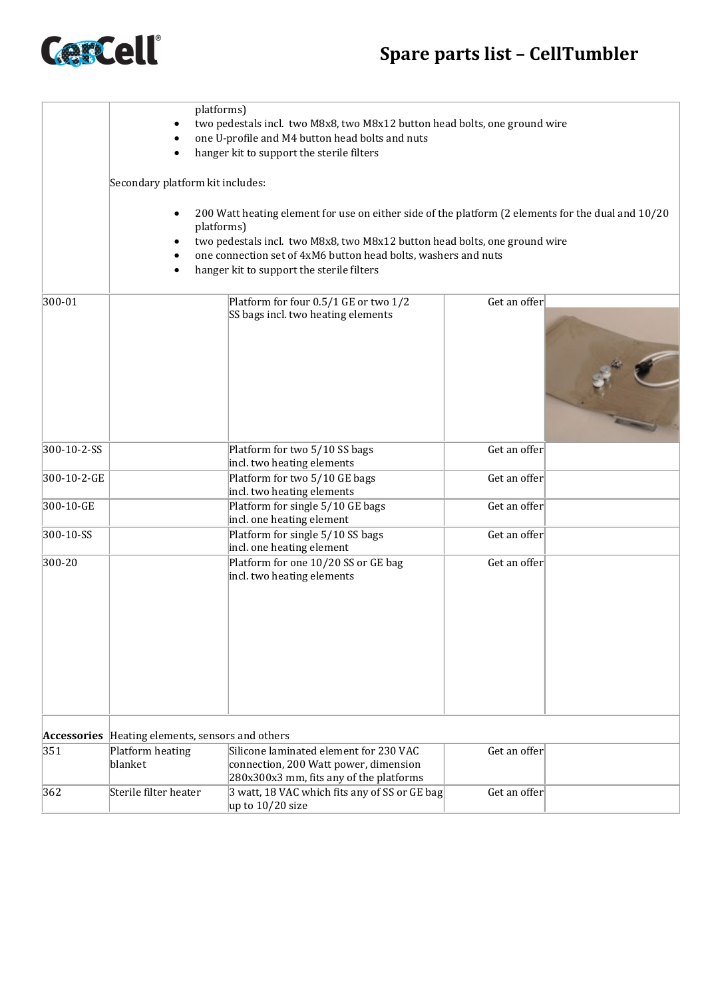## **Spare parts list – CellTumbler**



|             | platforms)<br>two pedestals incl. two M8x8, two M8x12 button head bolts, one ground wire<br>one U-profile and M4 button head bolts and nuts<br>hanger kit to support the sterile filters<br>Secondary platform kit includes:<br>200 Watt heating element for use on either side of the platform (2 elements for the dual and 10/20<br>platforms)<br>two pedestals incl. two M8x8, two M8x12 button head bolts, one ground wire<br>one connection set of 4xM6 button head bolts, washers and nuts<br>hanger kit to support the sterile filters |                                                                                                                            |              |  |
|-------------|-----------------------------------------------------------------------------------------------------------------------------------------------------------------------------------------------------------------------------------------------------------------------------------------------------------------------------------------------------------------------------------------------------------------------------------------------------------------------------------------------------------------------------------------------|----------------------------------------------------------------------------------------------------------------------------|--------------|--|
| 300-01      |                                                                                                                                                                                                                                                                                                                                                                                                                                                                                                                                               | Platform for four 0.5/1 GE or two 1/2<br>SS bags incl. two heating elements                                                | Get an offer |  |
| 300-10-2-SS |                                                                                                                                                                                                                                                                                                                                                                                                                                                                                                                                               | Platform for two 5/10 SS bags                                                                                              | Get an offer |  |
| 300-10-2-GE |                                                                                                                                                                                                                                                                                                                                                                                                                                                                                                                                               | incl. two heating elements<br>Platform for two 5/10 GE bags<br>incl. two heating elements                                  | Get an offer |  |
| 300-10-GE   |                                                                                                                                                                                                                                                                                                                                                                                                                                                                                                                                               | Platform for single 5/10 GE bags<br>incl. one heating element                                                              | Get an offer |  |
| 300-10-SS   |                                                                                                                                                                                                                                                                                                                                                                                                                                                                                                                                               | Platform for single 5/10 SS bags<br>incl. one heating element                                                              | Get an offer |  |
| 300-20      |                                                                                                                                                                                                                                                                                                                                                                                                                                                                                                                                               | Platform for one 10/20 SS or GE bag<br>incl. two heating elements                                                          | Get an offer |  |
|             | Accessories Heating elements, sensors and others                                                                                                                                                                                                                                                                                                                                                                                                                                                                                              |                                                                                                                            |              |  |
| 351         | Platform heating<br>blanket                                                                                                                                                                                                                                                                                                                                                                                                                                                                                                                   | Silicone laminated element for 230 VAC<br>connection, 200 Watt power, dimension<br>280x300x3 mm, fits any of the platforms | Get an offer |  |
| 362         | Sterile filter heater                                                                                                                                                                                                                                                                                                                                                                                                                                                                                                                         | 3 watt, 18 VAC which fits any of SS or GE bag<br>up to $10/20$ size                                                        | Get an offer |  |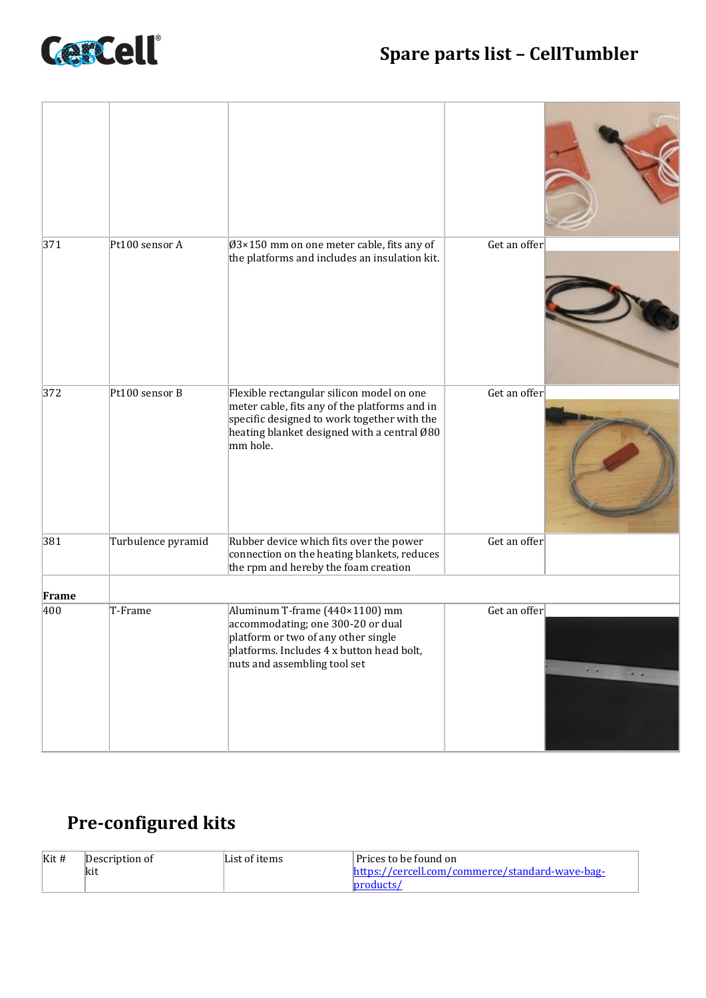

| 371   | Pt100 sensor A     | $\varnothing$ 3×150 mm on one meter cable, fits any of<br>the platforms and includes an insulation kit.                                                                                              | Get an offer                                                                                 |
|-------|--------------------|------------------------------------------------------------------------------------------------------------------------------------------------------------------------------------------------------|----------------------------------------------------------------------------------------------|
| 372   | Pt100 sensor B     | Flexible rectangular silicon model on one<br>meter cable, fits any of the platforms and in<br>specific designed to work together with the<br>heating blanket designed with a central Ø80<br>mm hole. | Get an offer                                                                                 |
| 381   | Turbulence pyramid | Rubber device which fits over the power<br>connection on the heating blankets, reduces<br>the rpm and hereby the foam creation                                                                       | Get an offer                                                                                 |
| Frame |                    |                                                                                                                                                                                                      |                                                                                              |
| 400   | T-Frame            | Aluminum T-frame (440×1100) mm<br>accommodating; one 300-20 or dual<br>platform or two of any other single<br>platforms. Includes 4 x button head bolt,<br>nuts and assembling tool set              | Get an offer<br>$\begin{array}{cc} \bullet & \bullet \end{array}$<br>$\bullet\quad \bullet.$ |

## **Pre-configured kits**

| $K$ it # | Description of | List of items | Prices to be found on                           |
|----------|----------------|---------------|-------------------------------------------------|
|          | <b>kit</b>     |               | https://cercell.com/commerce/standard-wave-bag- |
|          |                |               |                                                 |